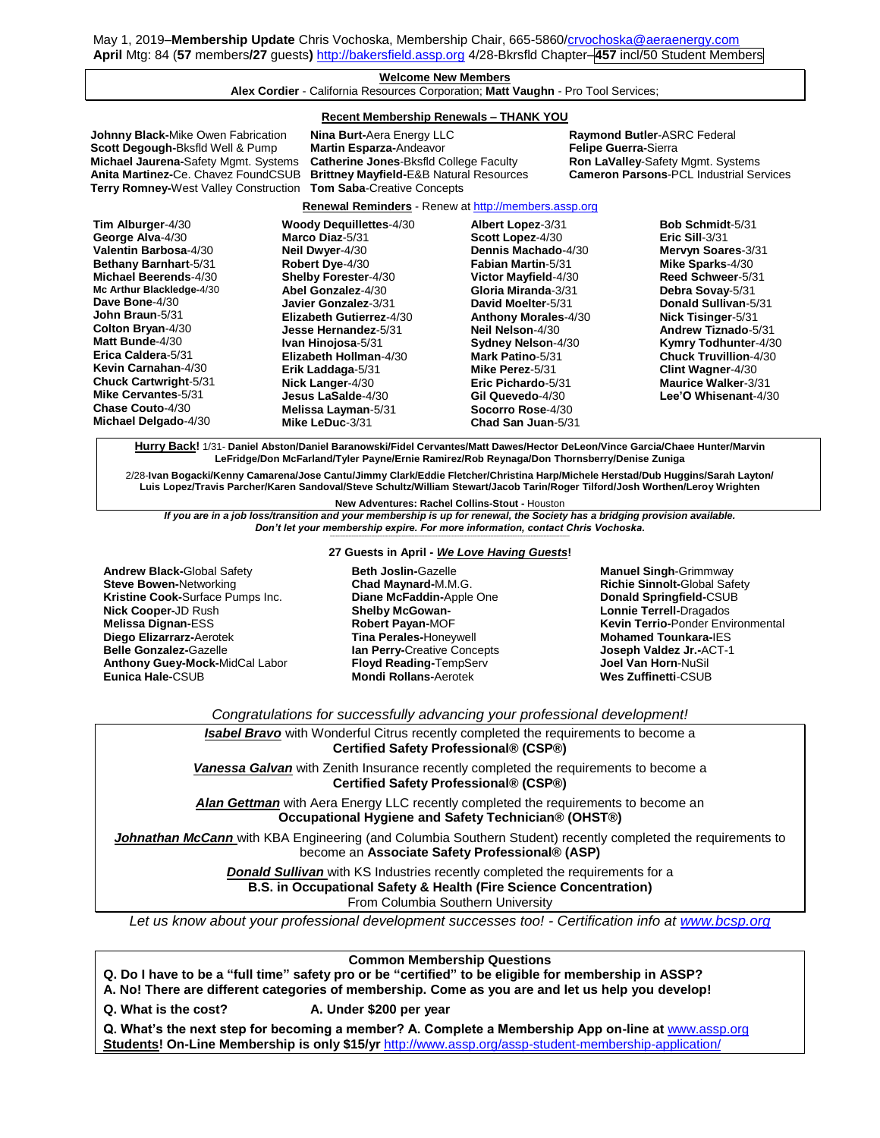May 1, 2019–**Membership Update** Chris Vochoska, Membership Chair, 665-5860[/crvochoska@aeraenergy.com](mailto:crvochoska@aeraenergy.com) **April** Mtg: 84 (**57** members**/27** guests**)** [http://bakersfield.assp.org](http://bakersfield.assp.org/) 4/28-Bkrsfld Chapter–**457** incl/50 Student Members

## **Welcome New Members Alex Cordier** - California Resources Corporation; **Matt Vaughn** - Pro Tool Services;

### **Recent Membership Renewals – THANK YOU**

**Johnny Black-**Mike Owen Fabrication **Nina Burt-**Aera Energy LLC **Raymond Butler-ASRC Federal**<br> **Scott Degough-B**ksfld Well & Pump Martin Esparza-Andeavor **Reast Commence Contra-Sterra Scott Degough-**Bksfld Well & Pump **Martin Esparza-**Andeavor **Felipe Guerra-**Sierra **Michael Jaurena-**Safety Mgmt. Systems **Catherine Jones-Bksfld College Faculty Anita Martinez-**Ce. Chavez FoundCSUB **Brittney Mayfield-**E&B Natural Resources **Cameron Parsons**-PCL Industrial Services **Terry Romney-**West Valley Construction **Tom Saba**-Creative Concepts **Renewal Reminders** - Renew a[t http://members.assp.org](http://members.assp.org/) **Tim Alburger**-4/30 **George Alva**-4/30 **Valentin Barbosa**-4/30 **Bethany Barnhart**-5/31 **Michael Beerends**-4/30 **Mc Arthur Blackledge-**4/30 **Dave Bone**-4/30 **John Braun**-5/31 **Colton Bryan**-4/30 **Matt Bunde**-4/30 **Erica Caldera**-5/31 **Kevin Carnahan**-4/30 **Chuck Cartwright**-5/31 **Mike Cervantes**-5/31 **Chase Couto**-4/30 **Michael Delgado**-4/30 **Woody Dequillettes**-4/30 **Marco Diaz**-5/31 **Neil Dwyer**-4/30 **Robert Dye**-4/30 **Shelby Forester**-4/30 **Abel Gonzalez**-4/30 **Javier Gonzalez**-3/31 **Elizabeth Gutierrez**-4/30 **Jesse Hernandez**-5/31 **Ivan Hinojosa**-5/31 **Elizabeth Hollman**-4/30 **Erik Laddaga**-5/31 **Nick Langer**-4/30 **Jesus LaSalde**-4/30 **Melissa Layman**-5/31 **Mike LeDuc**-3/31 **Albert Lopez**-3/31 **Scott Lopez**-4/30 **Dennis Machado**-4/30 **Fabian Martin**-5/31 **Victor Mayfield**-4/30 **Gloria Miranda**-3/31 **David Moelter**-5/31 **Anthony Morales**-4/30 **Neil Nelson**-4/30 **Sydney Nelson**-4/30 **Mark Patino**-5/31 **Mike Perez**-5/31 **Eric Pichardo**-5/31 **Gil Quevedo**-4/30 **Socorro Rose**-4/30 **Chad San Juan**-5/31 **Bob Schmidt**-5/31 **Eric Sill**-3/31 **Mervyn Soares**-3/31 **Mike Sparks**-4/30 **Reed Schweer**-5/31 **Debra Sovay**-5/31 **Donald Sullivan**-5/31 **Nick Tisinger**-5/31 **Andrew Tiznado**-5/31 **Kymry Todhunter**-4/30 **Chuck Truvillion**-4/30 **Clint Wagner**-4/30 **Maurice Walker**-3/31 **Lee'O Whisenant**-4/30

**Hurry Back!** 1/31- **Daniel Abston/Daniel Baranowski/Fidel Cervantes/Matt Dawes/Hector DeLeon/Vince Garcia/Chaee Hunter/Marvin LeFridge/Don McFarland/Tyler Payne/Ernie Ramirez/Rob Reynaga/Don Thornsberry/Denise Zuniga**

2/28-**Ivan Bogacki/Kenny Camarena/Jose Cantu/Jimmy Clark/Eddie Fletcher/Christina Harp/Michele Herstad/Dub Huggins/Sarah Layton/ Luis Lopez/Travis Parcher/Karen Sandoval/Steve Schultz/William Stewart/Jacob Tarin/Roger Tilford/Josh Worthen/Leroy Wrighten** 

**New Adventures: Rachel Collins-Stout -** Houston

*If you are in a job loss/transition and your membership is up for renewal, the Society has a bridging provision available. Don't let your membership expire. For more information, contact Chris Vochoska.* 

**Andrew Black-**Global Safety **Steve Bowen-**Networking **Kristine Cook-**Surface Pumps Inc. **Nick Cooper-**JD Rush **Melissa Dignan-**ESS **Diego Elizarrarz-**Aerotek **Belle Gonzalez-**Gazelle **Anthony Guey-Mock-**MidCal Labor **Eunica Hale-**CSUB

#### **----------------------------------------------------------------------------------------------------------------------------------------------------------------------- 27 Guests in April -** *We Love Having Guests***!**

**Beth Joslin-**Gazelle **Chad Maynard-**M.M.G. **Diane McFaddin-**Apple One **Shelby McGowan-Robert Payan-**MOF **Tina Perales-**Honeywell **Ian Perry-**Creative Concepts **Floyd Reading-**TempServ **Mondi Rollans-**Aerotek

**Manuel Singh**-Grimmway **Richie Sinnolt-**Global Safety **Donald Springfield-**CSUB **Lonnie Terrell-**Dragados **Kevin Terrio-**Ponder Environmental **Mohamed Tounkara-**IES **Joseph Valdez Jr.-**ACT-1 **Joel Van Horn**-NuSil **Wes Zuffinetti**-CSUB

*Congratulations for successfully advancing your professional development!*

**Isabel Bravo** with Wonderful Citrus recently completed the requirements to become a **Certified Safety Professional® (CSP®)**

*Vanessa Galvan* with Zenith Insurance recently completed the requirements to become a **Certified Safety Professional® (CSP®)**

*Alan Gettman* with Aera Energy LLC recently completed the requirements to become an **Occupational Hygiene and Safety Technician® (OHST®)**

*Johnathan McCann* with KBA Engineering (and Columbia Southern Student) recently completed the requirements to become an **Associate Safety Professional® (ASP)**

> **Donald Sullivan** with KS Industries recently completed the requirements for a **B.S. in Occupational Safety & Health (Fire Science Concentration)**

> > From Columbia Southern University

*Let us know about your professional development successes too! - Certification info at [www.bcsp.org](http://www.bcsp.org/)*

## **Common Membership Questions**

**Q. Do I have to be a "full time" safety pro or be "certified" to be eligible for membership in ASSP?** 

**A. No! There are different categories of membership. Come as you are and let us help you develop!**

**Q. What is the cost? A. Under \$200 per year**

**Q. What's the next step for becoming a member? A. Complete a Membership App on-line at** [www.assp.org](http://www.assp.org/) **Students! On-Line Membership is only \$15/yr** <http://www.assp.org/assp-student-membership-application/>